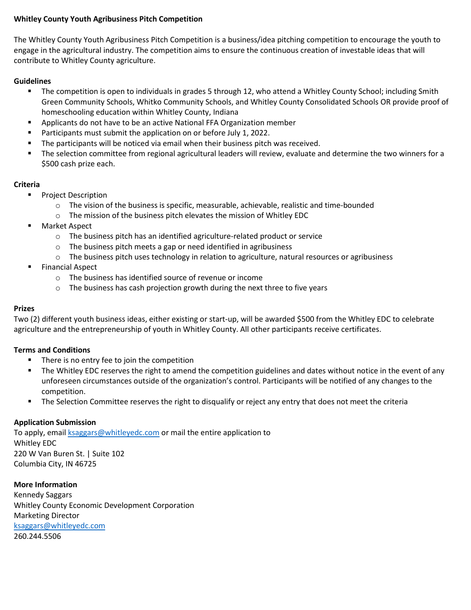#### **Whitley County Youth Agribusiness Pitch Competition**

The Whitley County Youth Agribusiness Pitch Competition is a business/idea pitching competition to encourage the youth to engage in the agricultural industry. The competition aims to ensure the continuous creation of investable ideas that will contribute to Whitley County agriculture.

#### **Guidelines**

- The competition is open to individuals in grades 5 through 12, who attend a Whitley County School; including Smith Green Community Schools, Whitko Community Schools, and Whitley County Consolidated Schools OR provide proof of homeschooling education within Whitley County, Indiana
- **Applicants do not have to be an active National FFA Organization member**
- **Participants must submit the application on or before July 1, 2022.**
- **The participants will be noticed via email when their business pitch was received.**
- The selection committee from regional agricultural leaders will review, evaluate and determine the two winners for a \$500 cash prize each.

#### **Criteria**

- **Project Description** 
	- $\circ$  The vision of the business is specific, measurable, achievable, realistic and time-bounded
	- o The mission of the business pitch elevates the mission of Whitley EDC
- Market Aspect
	- o The business pitch has an identified agriculture-related product or service
	- o The business pitch meets a gap or need identified in agribusiness
	- $\circ$  The business pitch uses technology in relation to agriculture, natural resources or agribusiness
- Financial Aspect
	- o The business has identified source of revenue or income
	- o The business has cash projection growth during the next three to five years

#### **Prizes**

Two (2) different youth business ideas, either existing or start-up, will be awarded \$500 from the Whitley EDC to celebrate agriculture and the entrepreneurship of youth in Whitley County. All other participants receive certificates.

#### **Terms and Conditions**

- There is no entry fee to join the competition
- The Whitley EDC reserves the right to amend the competition guidelines and dates without notice in the event of any unforeseen circumstances outside of the organization's control. Participants will be notified of any changes to the competition.
- **The Selection Committee reserves the right to disqualify or reject any entry that does not meet the criteria**

#### **Application Submission**

To apply, emai[l ksaggars@whitleyedc.com](mailto:ksaggars@whitleyedc.com) or mail the entire application to Whitley EDC 220 W Van Buren St. | Suite 102 Columbia City, IN 46725

**More Information** Kennedy Saggars Whitley County Economic Development Corporation Marketing Director [ksaggars@whitleyedc.com](mailto:ksaggars@whitleyedc.com) 260.244.5506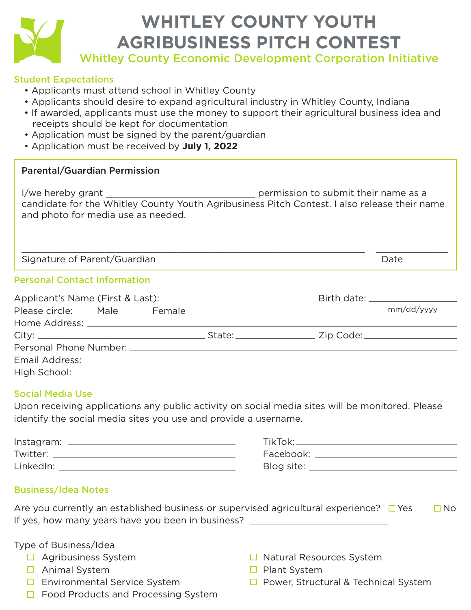| <b>WHITLEY COUNTY YOUTH</b>                 |
|---------------------------------------------|
| <b>AGRIBUSINESS PITCH CONTEST</b>           |
| しんけいけい ヘッド・ローラー しょうかん しょうしん しょうしん けいしょうせいけい |

# Whitley County Economic Development Corporation Initiative

## Student Expectations

- Applicants must attend school in Whitley County
- Applicants should desire to expand agricultural industry in Whitley County, Indiana
- If awarded, applicants must use the money to support their agricultural business idea and receipts should be kept for documentation
- Application must be signed by the parent/guardian
- Application must be received by **July 1, 2022**

### Parental/Guardian Permission

I/we hereby grant \_\_\_\_\_\_\_\_\_\_\_\_\_\_\_\_\_\_\_\_\_\_\_\_\_\_\_ permission to submit their name as a candidate for the Whitley County Youth Agribusiness Pitch Contest. I also release their name and photo for media use as needed.

\_\_\_\_\_\_\_\_\_\_\_\_\_\_\_\_\_\_\_\_\_\_\_\_\_\_\_\_\_\_\_\_\_\_\_\_\_\_\_\_\_\_\_\_\_\_\_\_\_\_\_\_\_\_\_\_\_\_\_\_\_\_ \_\_\_\_\_\_\_\_\_\_\_\_\_

Signature of Parent/Guardian Date by the United States of Date Date

### Personal Contact Information

| Please circle: Male Female                    |  |  |  |  | mm/dd/yyyy |  |  |  |
|-----------------------------------------------|--|--|--|--|------------|--|--|--|
|                                               |  |  |  |  |            |  |  |  |
|                                               |  |  |  |  |            |  |  |  |
| Personal Phone Number: National Phone Number: |  |  |  |  |            |  |  |  |
|                                               |  |  |  |  |            |  |  |  |
|                                               |  |  |  |  |            |  |  |  |

## Social Media Use

Upon receiving applications any public activity on social media sites will be monitored. Please identify the social media sites you use and provide a username.

| Instagram: | TikTok:    |
|------------|------------|
| Twitter:   | Facebook:  |
| LinkedIn:  | Blog site: |

## Business/Idea Notes

| Are you currently an established business or supervised agricultural experience? $\square$ Yes | $\Box$ No |
|------------------------------------------------------------------------------------------------|-----------|
| If yes, how many years have you been in business?                                              |           |

Type of Business/Idea

- 
- □ Animal System Plant System
- 
- $\Box$  Food Products and Processing System
- $\Box$  Agribusiness System  $\Box$  Natural Resources System
	-
- $\Box$  Environmental Service System  $\Box$  Power, Structural & Technical System